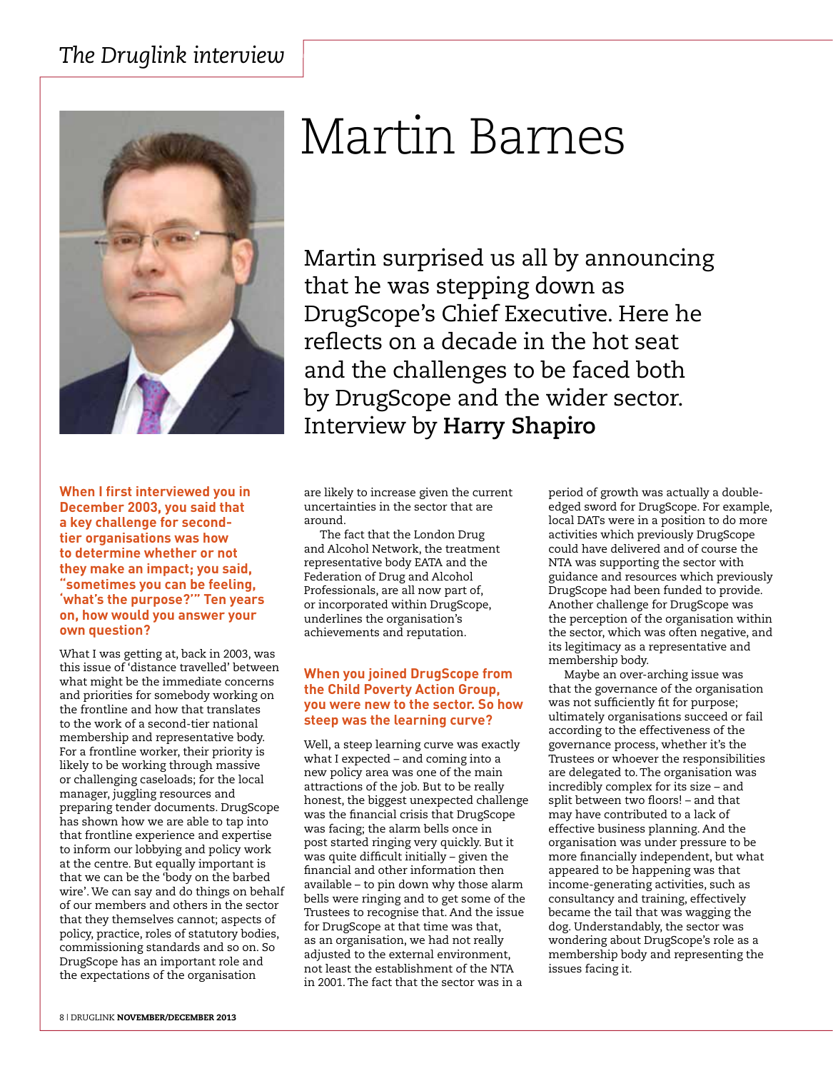

#### **When I first interviewed you in December 2003, you said that a key challenge for secondtier organisations was how to determine whether or not they make an impact; you said, "sometimes you can be feeling, 'what's the purpose?'" Ten years on, how would you answer your own question?**

What I was getting at, back in 2003, was this issue of 'distance travelled' between what might be the immediate concerns and priorities for somebody working on the frontline and how that translates to the work of a second-tier national membership and representative body. For a frontline worker, their priority is likely to be working through massive or challenging caseloads; for the local manager, juggling resources and preparing tender documents. DrugScope has shown how we are able to tap into that frontline experience and expertise to inform our lobbying and policy work at the centre. But equally important is that we can be the 'body on the barbed wire'. We can say and do things on behalf of our members and others in the sector that they themselves cannot; aspects of policy, practice, roles of statutory bodies, commissioning standards and so on. So DrugScope has an important role and the expectations of the organisation

# Martin Barnes

Martin surprised us all by announcing that he was stepping down as DrugScope's Chief Executive. Here he reflects on a decade in the hot seat and the challenges to be faced both by DrugScope and the wider sector. Interview by **Harry Shapiro**

are likely to increase given the current uncertainties in the sector that are around.

The fact that the London Drug and Alcohol Network, the treatment representative body EATA and the Federation of Drug and Alcohol Professionals, are all now part of, or incorporated within DrugScope, underlines the organisation's achievements and reputation.

# **When you joined DrugScope from the Child Poverty Action Group, you were new to the sector. So how steep was the learning curve?**

Well, a steep learning curve was exactly what I expected – and coming into a new policy area was one of the main attractions of the job. But to be really honest, the biggest unexpected challenge was the financial crisis that DrugScope was facing; the alarm bells once in post started ringing very quickly. But it was quite difficult initially – given the financial and other information then available – to pin down why those alarm bells were ringing and to get some of the Trustees to recognise that. And the issue for DrugScope at that time was that, as an organisation, we had not really adjusted to the external environment, not least the establishment of the NTA in 2001. The fact that the sector was in a

period of growth was actually a doubleedged sword for DrugScope. For example, local DATs were in a position to do more activities which previously DrugScope could have delivered and of course the NTA was supporting the sector with guidance and resources which previously DrugScope had been funded to provide. Another challenge for DrugScope was the perception of the organisation within the sector, which was often negative, and its legitimacy as a representative and membership body.

Maybe an over-arching issue was that the governance of the organisation was not sufficiently fit for purpose; ultimately organisations succeed or fail according to the effectiveness of the governance process, whether it's the Trustees or whoever the responsibilities are delegated to. The organisation was incredibly complex for its size – and split between two floors! – and that may have contributed to a lack of effective business planning. And the organisation was under pressure to be more financially independent, but what appeared to be happening was that income-generating activities, such as consultancy and training, effectively became the tail that was wagging the dog. Understandably, the sector was wondering about DrugScope's role as a membership body and representing the issues facing it.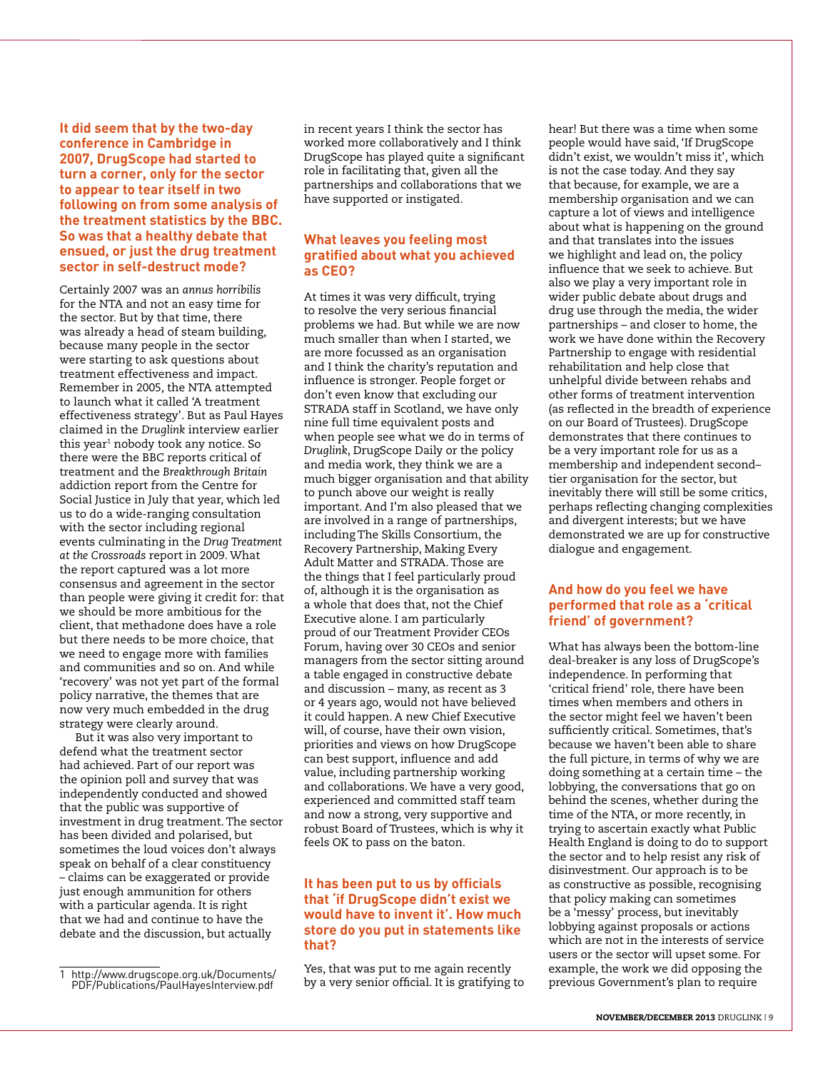**It did seem that by the two-day conference in Cambridge in 2007, DrugScope had started to turn a corner, only for the sector to appear to tear itself in two following on from some analysis of the treatment statistics by the BBC. So was that a healthy debate that ensued, or just the drug treatment sector in self-destruct mode?**

Certainly 2007 was an *annus horribilis* for the NTA and not an easy time for the sector. But by that time, there was already a head of steam building, because many people in the sector were starting to ask questions about treatment effectiveness and impact. Remember in 2005, the NTA attempted to launch what it called 'A treatment effectiveness strategy'. But as Paul Hayes claimed in the *Druglink* interview earlier this year $^{\scriptscriptstyle 1}$  nobody took any notice. So there were the BBC reports critical of treatment and the *Breakthrough Britain* addiction report from the Centre for Social Justice in July that year, which led us to do a wide-ranging consultation with the sector including regional events culminating in the *Drug Treatment at the Crossroads* report in 2009. What the report captured was a lot more consensus and agreement in the sector than people were giving it credit for: that we should be more ambitious for the client, that methadone does have a role but there needs to be more choice, that we need to engage more with families and communities and so on. And while 'recovery' was not yet part of the formal policy narrative, the themes that are now very much embedded in the drug strategy were clearly around.

But it was also very important to defend what the treatment sector had achieved. Part of our report was the opinion poll and survey that was independently conducted and showed that the public was supportive of investment in drug treatment. The sector has been divided and polarised, but sometimes the loud voices don't always speak on behalf of a clear constituency – claims can be exaggerated or provide just enough ammunition for others with a particular agenda. It is right that we had and continue to have the debate and the discussion, but actually

in recent years I think the sector has worked more collaboratively and I think DrugScope has played quite a significant role in facilitating that, given all the partnerships and collaborations that we have supported or instigated.

#### **What leaves you feeling most gratified about what you achieved as CEO?**

At times it was very difficult, trying to resolve the very serious financial problems we had. But while we are now much smaller than when I started, we are more focussed as an organisation and I think the charity's reputation and influence is stronger. People forget or don't even know that excluding our STRADA staff in Scotland, we have only nine full time equivalent posts and when people see what we do in terms of *Druglink*, DrugScope Daily or the policy and media work, they think we are a much bigger organisation and that ability to punch above our weight is really important. And I'm also pleased that we are involved in a range of partnerships, including The Skills Consortium, the Recovery Partnership, Making Every Adult Matter and STRADA. Those are the things that I feel particularly proud of, although it is the organisation as a whole that does that, not the Chief Executive alone. I am particularly proud of our Treatment Provider CEOs Forum, having over 30 CEOs and senior managers from the sector sitting around a table engaged in constructive debate and discussion – many, as recent as 3 or 4 years ago, would not have believed it could happen. A new Chief Executive will, of course, have their own vision, priorities and views on how DrugScope can best support, influence and add value, including partnership working and collaborations. We have a very good, experienced and committed staff team and now a strong, very supportive and robust Board of Trustees, which is why it feels OK to pass on the baton.

#### **It has been put to us by officials that 'if DrugScope didn't exist we would have to invent it'. How much store do you put in statements like that?**

Yes, that was put to me again recently by a very senior official. It is gratifying to hear! But there was a time when some people would have said, 'If DrugScope didn't exist, we wouldn't miss it', which is not the case today. And they say that because, for example, we are a membership organisation and we can capture a lot of views and intelligence about what is happening on the ground and that translates into the issues we highlight and lead on, the policy influence that we seek to achieve. But also we play a very important role in wider public debate about drugs and drug use through the media, the wider partnerships – and closer to home, the work we have done within the Recovery Partnership to engage with residential rehabilitation and help close that unhelpful divide between rehabs and other forms of treatment intervention (as reflected in the breadth of experience on our Board of Trustees). DrugScope demonstrates that there continues to be a very important role for us as a membership and independent second– tier organisation for the sector, but inevitably there will still be some critics, perhaps reflecting changing complexities and divergent interests; but we have demonstrated we are up for constructive dialogue and engagement.

#### **And how do you feel we have performed that role as a 'critical friend' of government?**

What has always been the bottom-line deal-breaker is any loss of DrugScope's independence. In performing that 'critical friend' role, there have been times when members and others in the sector might feel we haven't been sufficiently critical. Sometimes, that's because we haven't been able to share the full picture, in terms of why we are doing something at a certain time – the lobbying, the conversations that go on behind the scenes, whether during the time of the NTA, or more recently, in trying to ascertain exactly what Public Health England is doing to do to support the sector and to help resist any risk of disinvestment. Our approach is to be as constructive as possible, recognising that policy making can sometimes be a 'messy' process, but inevitably lobbying against proposals or actions which are not in the interests of service users or the sector will upset some. For example, the work we did opposing the previous Government's plan to require

http://www.drugscope.org.uk/Documents/ PDF/Publications/PaulHayesInterview.pdf